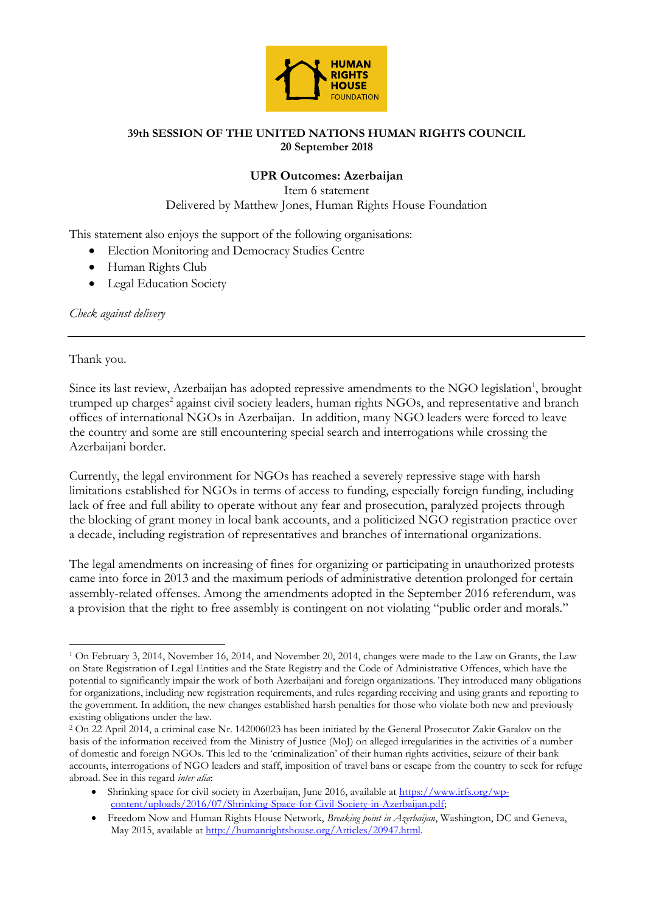

## **39th SESSION OF THE UNITED NATIONS HUMAN RIGHTS COUNCIL 20 September 2018**

## **UPR Outcomes: Azerbaijan**

Item 6 statement Delivered by Matthew Jones, Human Rights House Foundation

This statement also enjoys the support of the following organisations:

- Election Monitoring and Democracy Studies Centre
- Human Rights Club
- Legal Education Society

*Check against delivery*

## Thank you.

 $\overline{a}$ 

Since its last review, Azerbaijan has adopted repressive amendments to the NGO legislation<sup>1</sup>, brought trumped up charges<sup>2</sup> against civil society leaders, human rights NGOs, and representative and branch offices of international NGOs in Azerbaijan. In addition, many NGO leaders were forced to leave the country and some are still encountering special search and interrogations while crossing the Azerbaijani border.

Currently, the legal environment for NGOs has reached a severely repressive stage with harsh limitations established for NGOs in terms of access to funding, especially foreign funding, including lack of free and full ability to operate without any fear and prosecution, paralyzed projects through the blocking of grant money in local bank accounts, and a politicized NGO registration practice over a decade, including registration of representatives and branches of international organizations.

The legal amendments on increasing of fines for organizing or participating in unauthorized protests came into force in 2013 and the maximum periods of administrative detention prolonged for certain assembly-related offenses. Among the amendments adopted in the September 2016 referendum, was a provision that the right to free assembly is contingent on not violating "public order and morals."

<sup>1</sup> On February 3, 2014, November 16, 2014, and November 20, 2014, changes were made to the Law on Grants, the Law on State Registration of Legal Entities and the State Registry and the Code of Administrative Offences, which have the potential to significantly impair the work of both Azerbaijani and foreign organizations. They introduced many obligations for organizations, including new registration requirements, and rules regarding receiving and using grants and reporting to the government. In addition, the new changes established harsh penalties for those who violate both new and previously existing obligations under the law.

<sup>2</sup> On 22 April 2014, a criminal case Nr. 142006023 has been initiated by the General Prosecutor Zakir Garalov on the basis of the information received from the Ministry of Justice (MoJ) on alleged irregularities in the activities of a number of domestic and foreign NGOs. This led to the 'criminalization' of their human rights activities, seizure of their bank accounts, interrogations of NGO leaders and staff, imposition of travel bans or escape from the country to seek for refuge abroad. See in this regard *inter alia*:

<sup>•</sup> Shrinking space for civil society in Azerbaijan, June 2016, available at [https://www.irfs.org/wp](https://www.irfs.org/wp-content/uploads/2016/07/Shrinking-Space-for-Civil-Society-in-Azerbaijan.pdf)[content/uploads/2016/07/Shrinking-Space-for-Civil-Society-in-Azerbaijan.pdf;](https://www.irfs.org/wp-content/uploads/2016/07/Shrinking-Space-for-Civil-Society-in-Azerbaijan.pdf)

<sup>•</sup> Freedom Now and Human Rights House Network, *Breaking point in Azerbaijan*, Washington, DC and Geneva, May 2015, available a[t http://humanrightshouse.org/Articles/20947.html.](http://humanrightshouse.org/Articles/20947.html)